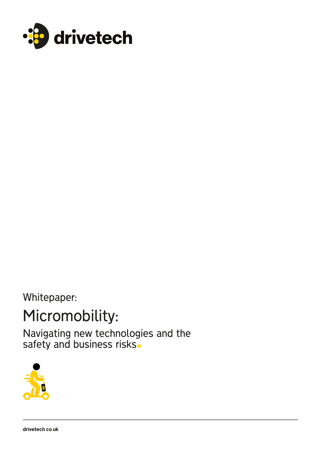

Whitepaper:

# Micromobility:

Navigating new technologies and the safety and business risks.

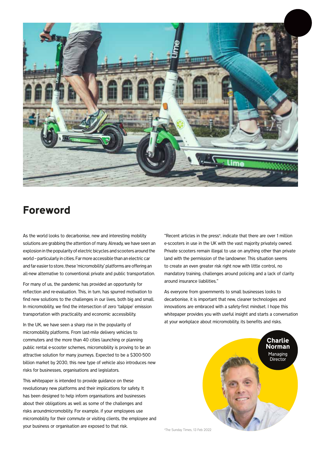

# Foreword

As the world looks to decarbonise, new and interesting mobility solutions are grabbing the attention of many. Already, we have seen an explosion in the popularity of electric bicycles and scooters around the world – particularly in cities. Far more accessible than an electric car and far easier to store, these 'micromobility' platforms are offering an all-new alternative to conventional private and public transportation.

For many of us, the pandemic has provided an opportunity for reflection and re-evaluation. This, in turn, has spurred motivation to find new solutions to the challenges in our lives, both big and small. In micromobility, we find the intersection of zero 'tailpipe' emission transportation with practicality and economic accessibility.

In the UK, we have seen a sharp rise in the popularity of micromobility platforms. From last-mile delivery vehicles to commuters and the more than 40 cities launching or planning public rental e-scooter schemes, micromobility is proving to be an attractive solution for many journeys. Expected to be a \$300-500 billion market by 2030, this new type of vehicle also introduces new risks for businesses, organisations and legislators.

This whitepaper is intended to provide guidance on these revolutionary new platforms and their implications for safety. It has been designed to help inform organisations and businesses about their obligations as well as some of the challenges and risks aroundmicromobility. For example, if your employees use micromobility for their commute or visiting clients, the employee and your business or organisation are exposed to that risk.

"Recent articles in the press\*, indicate that there are over 1 million e-scooters in use in the UK with the vast majority privately owned. Private scooters remain illegal to use on anything other than private land with the permission of the landowner. This situation seems to create an even greater risk right now with little control, no mandatory training, challenges around policing and a lack of clarity around insurance liabilities."

As everyone from governments to small businesses looks to decarbonise, it is important that new, cleaner technologies and innovations are embraced with a safety-first mindset. I hope this whitepaper provides you with useful insight and starts a conversation at your workplace about micromobility, its benefits and risks.

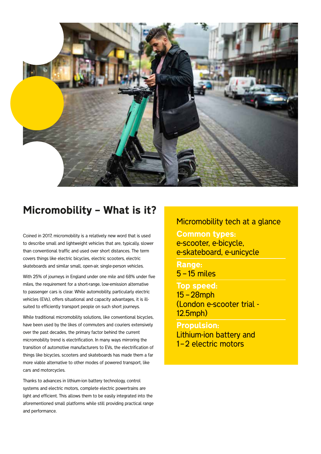

# Micromobility – What is it?

Coined in 2017, micromobility is a relatively new word that is used to describe small and lightweight vehicles that are, typically, slower than conventional traffic and used over short distances. The term covers things like electric bicycles, electric scooters, electric skateboards and similar small, open-air, single-person vehicles.

With 25% of journeys in England under one mile and 68% under five miles, the requirement for a short-range, low-emission alternative to passenger cars is clear. While automobility, particularly electric vehicles (EVs), offers situational and capacity advantages, it is illsuited to efficiently transport people on such short journeys.

While traditional micromobility solutions, like conventional bicycles, have been used by the likes of commuters and couriers extensively over the past decades, the primary factor behind the current micromobility trend is electrification. In many ways mirroring the transition of automotive manufacturers to EVs, the electrification of things like bicycles, scooters and skateboards has made them a far more viable alternative to other modes of powered transport, like cars and motorcycles.

Thanks to advances in lithium-ion battery technology, control systems and electric motors, complete electric powertrains are light and efficient. This allows them to be easily integrated into the aforementioned small platforms while still providing practical range and performance.

### Micromobility tech at a glance

Common types: e-scooter, e-bicycle, e-skateboard, e-unicycle

Range: 5 – 15 miles

#### Top speed:

15 – 28mph (London e-scooter trial - 12.5mph)

Propulsion: Lithium-ion battery and 1-2 electric motors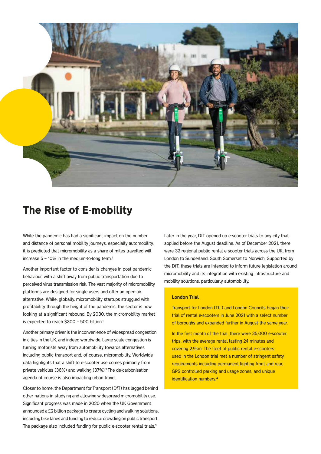

### The Rise of E-mobility

While the pandemic has had a significant impact on the number and distance of personal mobility journeys, especially automobility, it is predicted that micromobility as a share of miles travelled will increase  $5 - 10\%$  in the medium-to-long term.<sup>1</sup>

Another important factor to consider is changes in post-pandemic behaviour, with a shift away from public transportation due to perceived virus transmission risk. The vast majority of micromobility platforms are designed for single users and offer an open-air alternative. While, globally, micromobility startups struggled with profitability through the height of the pandemic, the sector is now looking at a significant rebound. By 2030, the micromobility market is expected to reach \$300 – 500 billion.1

Another primary driver is the inconvenience of widespread congestion in cities in the UK, and indeed worldwide. Large-scale congestion is turning motorists away from automobility towards alternatives including public transport and, of course, micromobility. Worldwide data highlights that a shift to e-scooter use comes primarily from private vehicles (36%) and walking (37%).2 The de-carbonisation agenda of course is also impacting urban travel.

Closer to home, the Department for Transport (DfT) has lagged behind other nations in studying and allowing widespread micromobility use. Significant progress was made in 2020 when the UK Government announced a £2 billion package to create cycling and walking solutions, including bike lanes and funding to reduce crowding on public transport. The package also included funding for public e-scooter rental trials.<sup>3</sup>

Later in the year, DfT opened up e-scooter trials to any city that applied before the August deadline. As of December 2021, there were 32 regional public rental e-scooter trials across the UK, from London to Sunderland, South Somerset to Norwich. Supported by the DfT, these trials are intended to inform future legislation around micromobility and its integration with existing infrastructure and mobility solutions, particularly automobility.

#### London Trial

Transport for London (TfL) and London Councils began their trial of rental e-scooters in June 2021 with a select number of boroughs and expanded further in August the same year.

In the first month of the trial, there were 35,000 e-scooter trips, with the average rental lasting 24 minutes and covering 2.9km. The fleet of public rental e-scooters used in the London trial met a number of stringent safety requirements including permanent lighting front and rear, GPS controlled parking and usage zones, and unique identification numbers.<sup>4</sup>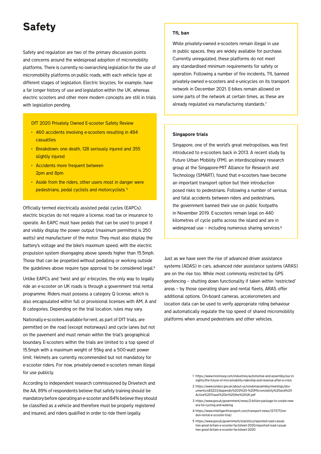# Safety

Safety and regulation are two of the primary discussion points and concerns around the widespread adoption of micromobility platforms. There is currently no overarching legislation for the use of micromobility platforms on public roads, with each vehicle type at different stages of legislation. Electric bicycles, for example, have a far longer history of use and legislation within the UK, whereas electric scooters and other more modern concepts are still in trials with legislation pending.

#### DfT 2020 Privately Owned E-scooter Safety Review

- 460 accidents involving e-scooters resulting in 484 casualties
- Breakdown: one death, 128 seriously injured and 355 slightly injured
- Accidents more frequent between 2pm and 8pm
- Aside from the riders, other users most in danger were pedestrians, pedal cyclists and motorcyclists 5

Officially termed electrically assisted pedal cycles (EAPCs), electric bicycles do not require a license, road tax or insurance to operate. An EAPC must have pedals that can be used to propel it and visibly display the power output (maximum permitted is 250 watts) and manufacturer of the motor. They must also display the battery's voltage and the bike's maximum speed, with the electric propulsion system disengaging above speeds higher than 15.5mph. Those that can be propelled without pedalling or working outside the guidelines above require type approval to be considered legal.<sup>6</sup>

Unlike EAPCs and 'twist and go' e-bicycles, the only way to legally ride an e-scooter on UK roads is through a government trial rental programme. Riders must possess a category Q license, which is also encapsulated within full or provisional licenses with AM, A and B categories. Depending on the trial location, rules may vary.

Nationally e-scooters available for rent, as part of DfT trials, are permitted on the road (except motorways) and cycle lanes but not on the pavement and must remain within the trial's geographical boundary. E-scooters within the trials are limited to a top speed of 15.5mph with a maximum weight of 55kg and a 500-watt power limit. Helmets are currently recommended but not mandatory for e-scooter riders. For now, privately-owned e-scooters remain illegal for use publicly.

According to independent research commissioned by Drivetech and the AA, 89% of respondents believe that safety training should be mandatory before operating an e-scooter and 84% believe they should be classified as a vehicle and therefore must be properly registered and insured, and riders qualified in order to ride them legally.

#### TfL ban

While privately-owned e-scooters remain illegal in use in public spaces, they are widely available for purchase. Currently unregulated, these platforms do not meet any standardised minimum requirements for safety or operation. Following a number of fire incidents, TfL banned privately-owned e-scooters and e-unicycles on its transport network in December 2021. E-bikes remain allowed on some parts of the network at certain times, as these are already regulated via manufacturing standards.7

#### Singapore trials

Singapore, one of the world's great metropolises, was first introduced to e-scooters back in 2013. A recent study by Future Urban Mobility (FM), an interdisciplinary research group at the Singapore-MIT Alliance for Research and Technology (SMART), found that e-scooters have become an important transport option but their introduction posed risks to pedestrians. Following a number of serious and fatal accidents between riders and pedestrians, the government banned their use on public footpaths in November 2019. E-scooters remain legal on 440 kilometres of cycle paths across the island and are in widespread use – including numerous sharing services.<sup>8</sup>

Just as we have seen the rise of advanced driver assistance systems (ADAS) in cars, advanced rider assistance systems (ARAS) are on the rise too. While most commonly restricted by GPS geofencing – shutting down functionality if taken within 'restricted' areas – by those operating share and rental fleets, ARAS offer additional options. On-board cameras, accelerometers and location data can be used to verify appropriate riding behaviour and automatically regulate the top speed of shared micromobility platforms when around pedestrians and other vehicles.

- 2 https://www.london.gov.uk/about-us/londonassembly/meetings/documents/s82223/Appendix%202%20-%20Micromobility%20and%20 Active%20Travel%20in%20the%20UK.pdf
- 3 https://www.gov.uk/government/news/2-billion-package-to-create-newera-for-cycling-and-walking
- 4 https://www.intelligenttransport.com/transport-news/127377/london-rental-e-scooter-trial/
- 5 https://www.gov.uk/government/statistics/reported-road-casualties-great-britain-e-scooter-factsheet-2020/reported-road-casualties-great-britain-e-scooter-factsheet-2020

<sup>1</sup> https://www.mckinsey.com/industries/automotive-and-assembly/our-insights/the-future-of-micromobility-ridership-and-revenue-after-a-crisis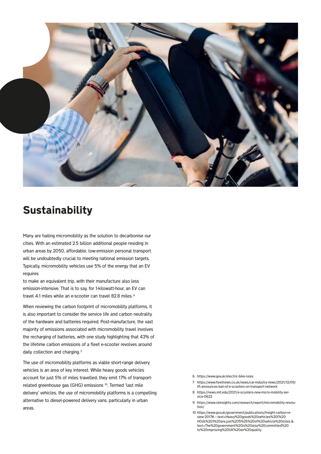

### **Sustainability**

Many are hailing micromobility as the solution to decarbonise our cities. With an estimated 2.5 billion additional people residing in urban areas by 2050, affordable, low-emission personal transport will be undoubtedly crucial to meeting national emission targets. Typically, micromobility vehicles use 5% of the energy that an EV requires

to make an equivalent trip, with their manufacture also less emission-intensive. That is to say, for 1-kilowatt-hour, an EV can travel 4.1 miles while an e-scooter can travel 82.8 miles. 9

When reviewing the carbon footprint of micromobility platforms, it is also important to consider the service life and carbon neutrality of the hardware and batteries required. Post-manufacture, the vast majority of emissions associated with micromobility travel involves the recharging of batteries, with one study highlighting that 43% of the lifetime carbon emissions of a fleet e-scooter revolves around daily collection and charging.<sup>2</sup>

The use of micromobility platforms as viable short-range delivery vehicles is an area of key interest. While heavy goods vehicles account for just 5% of miles travelled, they emit 17% of transportrelated greenhouse gas (GHG) emissions <sup>10</sup>. Termed 'last mile delivery' vehicles, the use of micromobility platforms is a compelling alternative to diesel-powered delivery vans, particularly in urban areas.

- 6 https://www.gov.uk/electric-bike-rules
- 7 https://www.fleetnews.co.uk/news/car-industry-news/2021/12/09/ tfl-announces-ban-of-e-scooters-on-transport-network
- 8 https://news.mit.edu/2021/e-scooters-new-micro-mobility-service-0622
- 9 https://www.cbinsights.com/research/report/micromobility-revolution/
- 10 https://www.gov.uk/government/publications/freight-carbon-review-2017#:~:text=Heavy%20goods%20vehicles%20(%20 HGVs%20)%20are,just%205%25%20of%20vehicle%20miles.& text=The%20government%20is%20also%20committed%20 to%20improving%20UK%20air%20quality.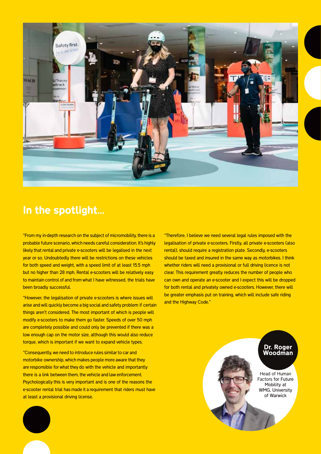

### In the spotlight…

"From my in-depth research on the subject of micromobility, there is a probable future scenario, which needs careful consideration. It's highly likely that rental and private e-scooters will be legalised in the next year or so. Undoubtedly there will be restrictions on these vehicles for both speed and weight, with a speed limit of at least 15.5 mph but no higher than 28 mph. Rental e-scooters will be relatively easy to maintain control of and from what I have witnessed, the trials have been broadly successful.

"However, the legalisation of private e-scooters is where issues will arise and will quickly become a big social and safety problem if certain things aren't considered. The most important of which is people will modify e-scooters to make them go faster. Speeds of over 50 mph are completely possible and could only be prevented if there was a low enough cap on the motor size, although this would also reduce torque, which is important if we want to expand vehicle types.

"Consequently, we need to introduce rules similar to car and motorbike ownership, which makes people more aware that they are responsible for what they do with the vehicle and importantly there is a link between them, the vehicle and law enforcement. Psychologically this is very important and is one of the reasons the e-scooter rental trial has made it a requirement that riders must have at least a provisional driving license.

"Therefore, I believe we need several legal rules imposed with the legalisation of private e-scooters. Firstly, all private e-scooters (also rental), should require a registration plate. Secondly, e-scooters should be taxed and insured in the same way as motorbikes. I think whether riders will need a provisional or full driving licence is not clear. This requirement greatly reduces the number of people who can own and operate an e-scooter and I expect this will be dropped for both rental and privately owned e-scooters. However, there will be greater emphasis put on training, which will include safe riding and the Highway Code."

> Head of Human Factors for Future Mobility at WMG, University of Warwick

Dr. Roger Woodman

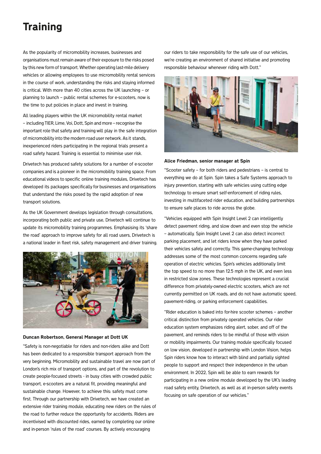# **Training**

As the popularity of micromobility increases, businesses and organisations must remain aware of their exposure to the risks posed by this new form of transport. Whether operating last-mile delivery vehicles or allowing employees to use micromobility rental services in the course of work, understanding the risks and staying informed is critical. With more than 40 cities across the UK launching – or planning to launch – public rental schemes for e-scooters, now is the time to put policies in place and invest in training.

All leading players within the UK micromobility rental market – including TIER, Lime, Voi, Dott, Spin and more – recognise the important role that safety and training will play in the safe integration of micromobility into the modern road user network. As it stands, inexperienced riders participating in the regional trials present a road safety hazard. Training is essential to minimise user risk.

Drivetech has produced safety solutions for a number of e-scooter companies and is a pioneer in the micromobility training space. From educational videos to specific online training modules, Drivetech has developed its packages specifically for businesses and organisations that understand the risks posed by the rapid adoption of new transport solutions.

As the UK Government develops legislation through consultations, incorporating both public and private use, Drivetech will continue to update its micromobility training programmes. Emphasising its 'share the road' approach to improve safety for all road users, Drivetech is a national leader in fleet risk, safety management and driver training.



Duncan Robertson, General Manager at Dott UK

"Safety is non-negotiable for riders and non-riders alike and Dott has been dedicated to a responsible transport approach from the very beginning. Micromobility and sustainable travel are now part of London's rich mix of transport options, and part of the revolution to create people-focused streets - in busy cities with crowded public transport, e-scooters are a natural fit, providing meaningful and sustainable change. However, to achieve this: safety must come first. Through our partnership with Drivetech, we have created an extensive rider training module, educating new riders on the rules of the road to further reduce the opportunity for accidents. Riders are incentivised with discounted rides, earned by completing our online and in-person 'rules of the road' courses. By actively encouraging

our riders to take responsibility for the safe use of our vehicles, we're creating an environment of shared initiative and promoting responsible behaviour whenever riding with Dott."



#### Alice Friedman, senior manager at Spin

"Scooter safety – for both riders and pedestrians – is central to everything we do at Spin. Spin takes a Safe Systems approach to injury prevention, starting with safe vehicles using cutting edge technology to ensure smart self-enforcement of riding rules, investing in multifaceted rider education, and building partnerships to ensure safe places to ride across the globe.

"Vehicles equipped with Spin Insight Level 2 can intelligently detect pavement riding, and slow down and even stop the vehicle – automatically. Spin Insight Level 2 can also detect incorrect parking placement, and let riders know when they have parked their vehicles safely and correctly. This game-changing technology addresses some of the most common concerns regarding safe operation of electric vehicles. Spin's vehicles additionally limit the top speed to no more than 12.5 mph in the UK, and even less in restricted slow zones. These technologies represent a crucial difference from privately-owned electric scooters, which are not currently permitted on UK roads, and do not have automatic speed, pavement-riding, or parking enforcement capabilities.

"Rider education is baked into for-hire scooter schemes – another critical distinction from privately operated vehicles. Our rider education system emphasizes riding alert, sober, and off of the pavement, and reminds riders to be mindful of those with vision or mobility impairments. Our training module specifically focused on low vision, developed in partnership with London Vision, helps Spin riders know how to interact with blind and partially sighted people to support and respect their independence in the urban environment. In 2022, Spin will be able to earn rewards for participating in a new online module developed by the UK's leading road safety entity, Drivetech, as well as at in-person safety events focusing on safe operation of our vehicles."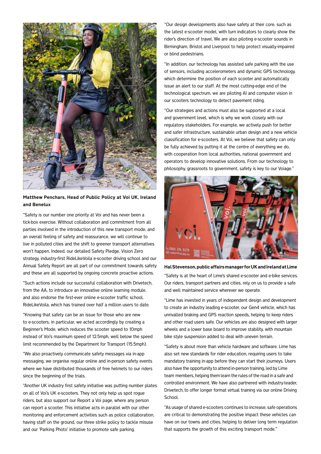

Matthew Penchars, Head of Public Policy at Voi UK, Ireland and Benelux

"Safety is our number one priority at Voi and has never been a tick-box exercise. Without collaboration and commitment from all parties involved in the introduction of this new transport mode, and an overall feeling of safety and reassurance, we will continue to live in polluted cities and the shift to greener transport alternatives won't happen. Indeed, our detailed Safety Pledge, Vision Zero strategy, industry-first RideLikeVoila e-scooter driving school and our Annual Safety Report are all part of our commitment towards safety and these are all supported by ongoing concrete proactive actions.

"Such actions include our successful collaboration with Drivetech, from the AA, to introduce an innovative online learning module, and also endorse the first-ever online e-scooter traffic school, Ridel ikeVoila, which has trained over half a million users to date.

"Knowing that safety can be an issue for those who are new to e-scooters, in particular, we acted accordingly by creating a Beginner's Mode, which reduces the scooter speed to 10mph instead of Voi's maximum speed of 12.5mph, well below the speed limit recommended by the Department for Transport (15.5mph).

"We also proactively communicate safety messages via in-app messaging, we organise regular online and in-person safety events where we have distributed thousands of free helmets to our riders since the beginning of the trials.

"Another UK industry first safety initiative was putting number plates on all of Voi's UK e-scooters. They not only help us spot rogue riders, but also support our Report a Voi page, where any person can report a scooter. This initiative acts in parallel with our other monitoring and enforcement activities such as police collaboration, having staff on the ground, our three strike policy to tackle misuse and our 'Parking Photo' initiative to promote safe parking.

"Our design developments also have safety at their core, such as the latest e-scooter model, with turn indicators to clearly show the rider's direction of travel. We are also piloting e-scooter sounds in Birmingham, Bristol and Liverpool to help protect visually-impaired or blind pedestrians.

"In addition, our technology has assisted safe parking with the use of sensors, including accelerometers and dynamic GPS technology, which determine the position of each scooter and automatically issue an alert to our staff. At the most cutting-edge end of the technological spectrum, we are piloting AI and computer vision in our scooters technology to detect pavement riding.

"Our strategies and actions must also be supported at a local and government level, which is why we work closely with our regulatory stakeholders. For example, we actively push for better and safer infrastructure, sustainable urban design and a new vehicle classification for e-scooters. At Voi, we believe that safety can only be fully achieved by putting it at the centre of everything we do, with cooperation from local authorities, national government and operators to develop innovative solutions. From our technology to philosophy, grassroots to government, safety is key to our Voiage."



Hal Stevenson, public affairs manager for UK and Ireland at Lime

"Safety is at the heart of Lime's shared e-scooter and e-bike services. Our riders, transport partners and cities, rely on us to provide a safe and well maintained service wherever we operate.

"Lime has invested in years of independent design and development to create an industry leading e-scooter, our Gen4 vehicle, which has unrivalled braking and GPS reaction speeds, helping to keep riders and other road users safe. Our vehicles are also designed with larger wheels and a lower base board to improve stability, with mountain bike style suspension added to deal with uneven terrain.

"Safety is about more than vehicle hardware and software. Lime has also set new standards for rider education, requiring users to take mandatory training in-app before they can start their journeys. Users also have the opportunity to attend in-person training, led by Lime team members, helping them learn the rules of the road in a safe and controlled environment. We have also partnered with industry-leader, Drivetech, to offer longer format virtual training via our online Driving School.

"As usage of shared e-scooters continues to increase, safe operations are critical to demonstrating the positive impact these vehicles can have on our towns and cities, helping to deliver long term regulation that supports the growth of this exciting transport mode."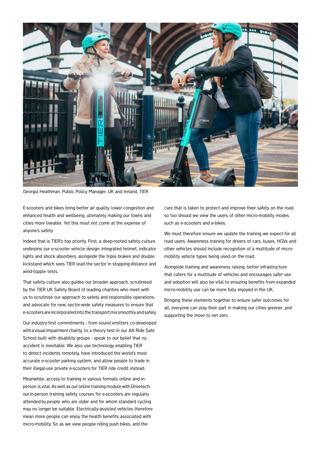

Georgia Heathman, Public Policy Manager, UK and Ireland, TIER

E-scooters and bikes bring better air quality, lower congestion and enhanced health and wellbeing, ultimately making our towns and cities more liveable. Yet this must not come at the expense of anyone's safety.

Indeed that is TIER's top priority. First, a deep-rooted safety culture underpins our e-scooter vehicle design: integrated helmet, indicator lights and shock absorbers, alongside the triple brakes and double kickstand which sees TIER lead the sector in stopping-distance and wind-topple tests.

That safety culture also guides our broader approach, scrutinised by the TIER UK Safety Board of leading charities who meet with us to scrutinise our approach to safety and responsible operations, and advocate for new, sector-wide safety measures to ensure that e-scooters are incorporated into the transport mix smoothly and safely.

Our industry-first commitments - from sound emitters co-developed with a visual impairment charity, to a theory test in our AA Ride Safe School built with disability groups - speak to our belief that no accident is inevitable. We also use technology enabling TIER to detect incidents remotely, have introduced the world's most accurate e-scooter parking system, and allow people to trade in their illegal-use private e-scooters for TIER ride credit instead.

Meanwhile, access to training in various formats online and inperson is vital. As well as our online training module with Drivetech, our in-person training safety courses for e-scooters are regularly attended by people who are older and for whom standard cycling may no longer be suitable. Electrically-assisted vehicles therefore mean more people can enjoy the health benefits associated with micro-mobility. So as we view people riding push bikes, and the

care that is taken to protect and improve their safety on the road, so too should we view the users of other micro-mobility modes such as e-scooters and e-bikes.

We must therefore ensure we update the training we expect for all road users. Awareness training for drivers of cars, buses, HGVs and other vehicles should include recognition of a multitude of micromobility vehicle types being used on the road.

Alongside training and awareness raising, better infrastructure that caters for a multitude of vehicles and encourages safer use and adoption will also be vital to ensuring benefits from expanded micro-mobility use can be more fully enjoyed in the UK.

Bringing these elements together to ensure safer outcomes for all, everyone can play their part in making our cities greener, and supporting the move to net zero.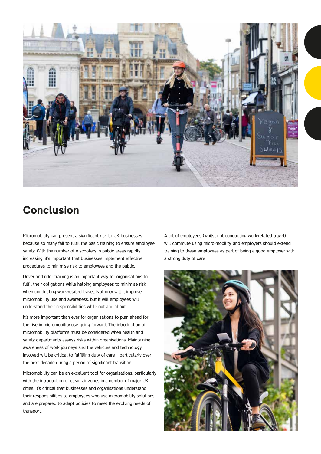

# Conclusion

Micromobility can present a significant risk to UK businesses because so many fail to fulfil the basic training to ensure employee safety. With the number of e-scooters in public areas rapidly increasing, it's important that businesses implement effective procedures to minimise risk to employees and the public.

Driver and rider training is an important way for organisations to fulfil their obligations while helping employees to minimise risk when conducting work-related travel. Not only will it improve micromobility use and awareness, but it will employees will understand their responsibilities while out and about.

It's more important than ever for organisations to plan ahead for the rise in micromobility use going forward. The introduction of micromobility platforms must be considered when health and safety departments assess risks within organisations. Maintaining awareness of work journeys and the vehicles and technology involved will be critical to fulfilling duty of care – particularly over the next decade during a period of significant transition.

Micromobility can be an excellent tool for organisations, particularly with the introduction of clean air zones in a number of major UK cities. It's critical that businesses and organisations understand their responsibilities to employees who use micromobility solutions and are prepared to adapt policies to meet the evolving needs of transport.

A lot of employees (whilst not conducting work-related travel) will commute using micro-mobility, and employers should extend training to these employees as part of being a good employer with a strong duty of care